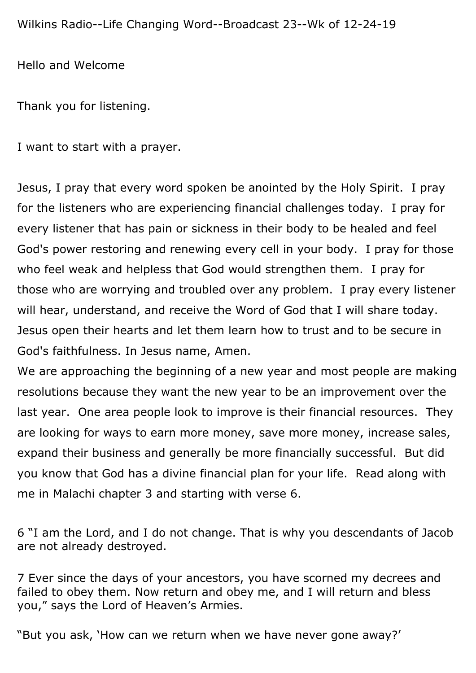Hello and Welcome

Thank you for listening.

I want to start with a prayer.

Jesus, I pray that every word spoken be anointed by the Holy Spirit. I pray for the listeners who are experiencing financial challenges today. I pray for every listener that has pain or sickness in their body to be healed and feel God's power restoring and renewing every cell in your body. I pray for those who feel weak and helpless that God would strengthen them. I pray for those who are worrying and troubled over any problem. I pray every listener will hear, understand, and receive the Word of God that I will share today. Jesus open their hearts and let them learn how to trust and to be secure in God's faithfulness. In Jesus name, Amen.

We are approaching the beginning of a new year and most people are making resolutions because they want the new year to be an improvement over the last year. One area people look to improve is their financial resources. They are looking for ways to earn more money, save more money, increase sales, expand their business and generally be more financially successful. But did you know that God has a divine financial plan for your life. Read along with me in Malachi chapter 3 and starting with verse 6.

6 "I am the Lord, and I do not change. That is why you descendants of Jacob are not already destroyed.

7 Ever since the days of your ancestors, you have scorned my decrees and failed to obey them. Now return and obey me, and I will return and bless you," says the Lord of Heaven's Armies.

"But you ask, 'How can we return when we have never gone away?'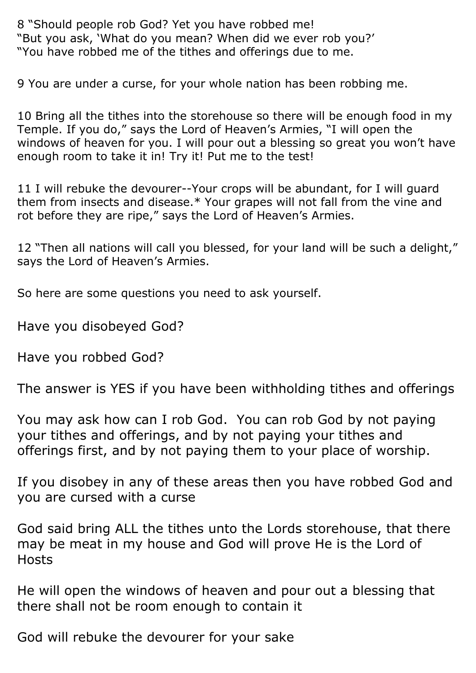8 "Should people rob God? Yet you have robbed me! "But you ask, 'What do you mean? When did we ever rob you?' "You have robbed me of the tithes and offerings due to me.

9 You are under a curse, for your whole nation has been robbing me.

10 Bring all the tithes into the storehouse so there will be enough food in my Temple. If you do," says the Lord of Heaven's Armies, "I will open the windows of heaven for you. I will pour out a blessing so great you won't have enough room to take it in! Try it! Put me to the test!

11 I will rebuke the devourer--Your crops will be abundant, for I will guard them from insects and disease.\* Your grapes will not fall from the vine and rot before they are ripe," says the Lord of Heaven's Armies.

12 "Then all nations will call you blessed, for your land will be such a delight," says the Lord of Heaven's Armies.

So here are some questions you need to ask yourself.

Have you disobeyed God?

Have you robbed God?

The answer is YES if you have been withholding tithes and offerings

You may ask how can I rob God. You can rob God by not paying your tithes and offerings, and by not paying your tithes and offerings first, and by not paying them to your place of worship.

If you disobey in any of these areas then you have robbed God and you are cursed with a curse

God said bring ALL the tithes unto the Lords storehouse, that there may be meat in my house and God will prove He is the Lord of **Hosts** 

He will open the windows of heaven and pour out a blessing that there shall not be room enough to contain it

God will rebuke the devourer for your sake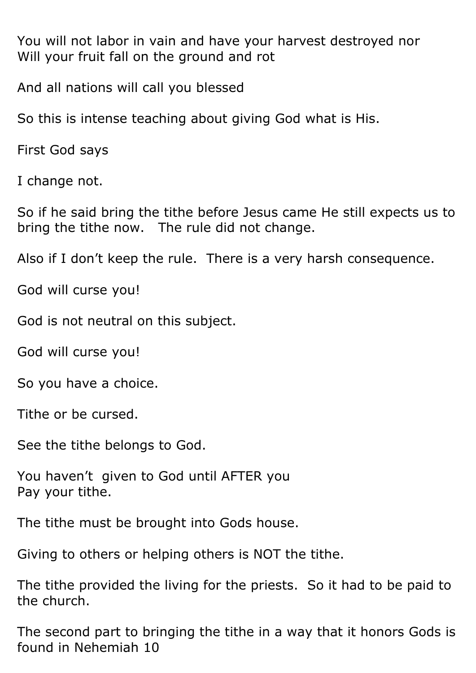You will not labor in vain and have your harvest destroyed nor Will your fruit fall on the ground and rot

And all nations will call you blessed

So this is intense teaching about giving God what is His.

First God says

I change not.

So if he said bring the tithe before Jesus came He still expects us to bring the tithe now. The rule did not change.

Also if I don't keep the rule. There is a very harsh consequence.

God will curse you!

God is not neutral on this subject.

God will curse you!

So you have a choice.

Tithe or be cursed.

See the tithe belongs to God.

You haven't given to God until AFTER you Pay your tithe.

The tithe must be brought into Gods house.

Giving to others or helping others is NOT the tithe.

The tithe provided the living for the priests. So it had to be paid to the church.

The second part to bringing the tithe in a way that it honors Gods is found in Nehemiah 10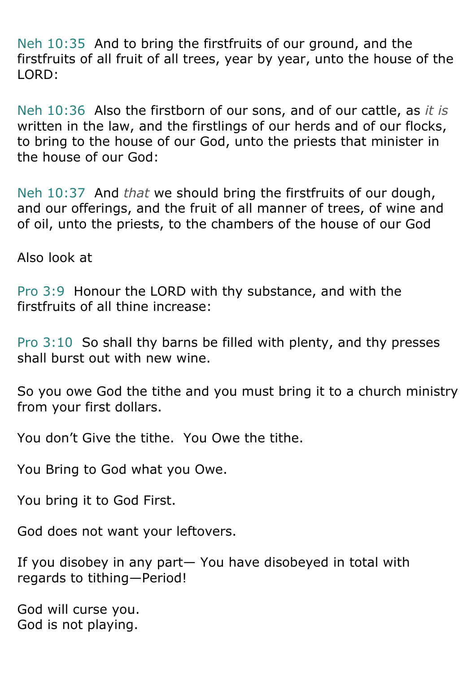Neh 10:35 And to bring the firstfruits of our ground, and the firstfruits of all fruit of all trees, year by year, unto the house of the LORD:

Neh 10:36 Also the firstborn of our sons, and of our cattle, as *it is* written in the law, and the firstlings of our herds and of our flocks, to bring to the house of our God, unto the priests that minister in the house of our God:

Neh 10:37 And *that* we should bring the firstfruits of our dough, and our offerings, and the fruit of all manner of trees, of wine and of oil, unto the priests, to the chambers of the house of our God

Also look at

Pro 3:9 Honour the LORD with thy substance, and with the firstfruits of all thine increase:

Pro 3:10 So shall thy barns be filled with plenty, and thy presses shall burst out with new wine.

So you owe God the tithe and you must bring it to a church ministry from your first dollars.

You don't Give the tithe. You Owe the tithe.

You Bring to God what you Owe.

You bring it to God First.

God does not want your leftovers.

If you disobey in any part— You have disobeyed in total with regards to tithing—Period!

God will curse you. God is not playing.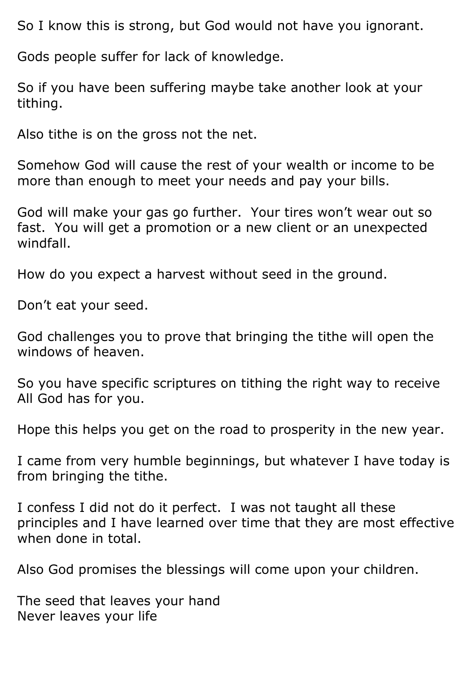So I know this is strong, but God would not have you ignorant.

Gods people suffer for lack of knowledge.

So if you have been suffering maybe take another look at your tithing.

Also tithe is on the gross not the net.

Somehow God will cause the rest of your wealth or income to be more than enough to meet your needs and pay your bills.

God will make your gas go further. Your tires won't wear out so fast. You will get a promotion or a new client or an unexpected windfall.

How do you expect a harvest without seed in the ground.

Don't eat your seed.

God challenges you to prove that bringing the tithe will open the windows of heaven.

So you have specific scriptures on tithing the right way to receive All God has for you.

Hope this helps you get on the road to prosperity in the new year.

I came from very humble beginnings, but whatever I have today is from bringing the tithe.

I confess I did not do it perfect. I was not taught all these principles and I have learned over time that they are most effective when done in total.

Also God promises the blessings will come upon your children.

The seed that leaves your hand Never leaves your life